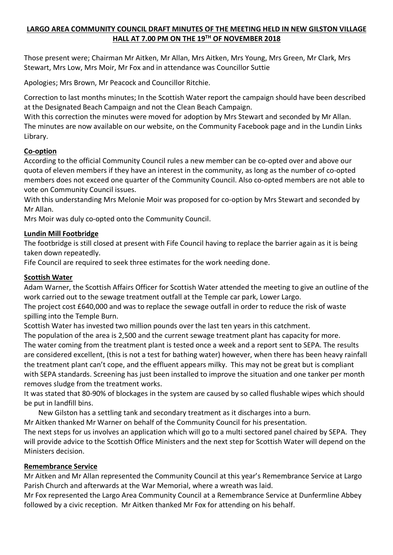# **LARGO AREA COMMUNITY COUNCIL DRAFT MINUTES OF THE MEETING HELD IN NEW GILSTON VILLAGE HALL AT 7.00 PM ON THE 19TH OF NOVEMBER 2018**

Those present were; Chairman Mr Aitken, Mr Allan, Mrs Aitken, Mrs Young, Mrs Green, Mr Clark, Mrs Stewart, Mrs Low, Mrs Moir, Mr Fox and in attendance was Councillor Suttie

Apologies; Mrs Brown, Mr Peacock and Councillor Ritchie.

Correction to last months minutes; In the Scottish Water report the campaign should have been described at the Designated Beach Campaign and not the Clean Beach Campaign.

With this correction the minutes were moved for adoption by Mrs Stewart and seconded by Mr Allan. The minutes are now available on our website, on the Community Facebook page and in the Lundin Links Library.

## **Co-option**

According to the official Community Council rules a new member can be co-opted over and above our quota of eleven members if they have an interest in the community, as long as the number of co-opted members does not exceed one quarter of the Community Council. Also co-opted members are not able to vote on Community Council issues.

With this understanding Mrs Melonie Moir was proposed for co-option by Mrs Stewart and seconded by Mr Allan.

Mrs Moir was duly co-opted onto the Community Council.

## **Lundin Mill Footbridge**

The footbridge is still closed at present with Fife Council having to replace the barrier again as it is being taken down repeatedly.

Fife Council are required to seek three estimates for the work needing done.

### **Scottish Water**

Adam Warner, the Scottish Affairs Officer for Scottish Water attended the meeting to give an outline of the work carried out to the sewage treatment outfall at the Temple car park, Lower Largo.

The project cost £640,000 and was to replace the sewage outfall in order to reduce the risk of waste spilling into the Temple Burn.

Scottish Water has invested two million pounds over the last ten years in this catchment.

The population of the area is 2,500 and the current sewage treatment plant has capacity for more. The water coming from the treatment plant is tested once a week and a report sent to SEPA. The results are considered excellent, (this is not a test for bathing water) however, when there has been heavy rainfall the treatment plant can't cope, and the effluent appears milky. This may not be great but is compliant with SEPA standards. Screening has just been installed to improve the situation and one tanker per month removes sludge from the treatment works.

It was stated that 80-90% of blockages in the system are caused by so called flushable wipes which should be put in landfill bins.

New Gilston has a settling tank and secondary treatment as it discharges into a burn.

Mr Aitken thanked Mr Warner on behalf of the Community Council for his presentation.

The next steps for us involves an application which will go to a multi sectored panel chaired by SEPA. They will provide advice to the Scottish Office Ministers and the next step for Scottish Water will depend on the Ministers decision.

### **Remembrance Service**

Mr Aitken and Mr Allan represented the Community Council at this year's Remembrance Service at Largo Parish Church and afterwards at the War Memorial, where a wreath was laid.

Mr Fox represented the Largo Area Community Council at a Remembrance Service at Dunfermline Abbey followed by a civic reception. Mr Aitken thanked Mr Fox for attending on his behalf.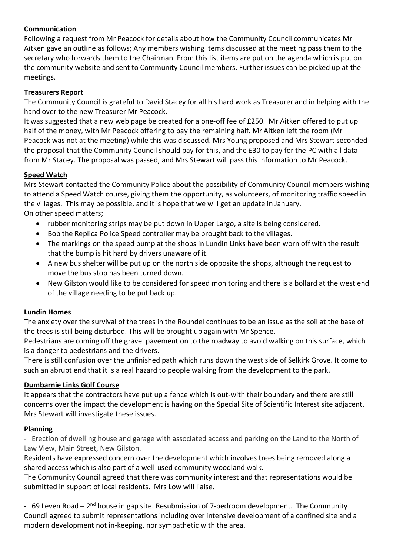# **Communication**

Following a request from Mr Peacock for details about how the Community Council communicates Mr Aitken gave an outline as follows; Any members wishing items discussed at the meeting pass them to the secretary who forwards them to the Chairman. From this list items are put on the agenda which is put on the community website and sent to Community Council members. Further issues can be picked up at the meetings.

## **Treasurers Report**

The Community Council is grateful to David Stacey for all his hard work as Treasurer and in helping with the hand over to the new Treasurer Mr Peacock.

It was suggested that a new web page be created for a one-off fee of £250. Mr Aitken offered to put up half of the money, with Mr Peacock offering to pay the remaining half. Mr Aitken left the room (Mr Peacock was not at the meeting) while this was discussed. Mrs Young proposed and Mrs Stewart seconded the proposal that the Community Council should pay for this, and the £30 to pay for the PC with all data from Mr Stacey. The proposal was passed, and Mrs Stewart will pass this information to Mr Peacock.

### **Speed Watch**

Mrs Stewart contacted the Community Police about the possibility of Community Council members wishing to attend a Speed Watch course, giving them the opportunity, as volunteers, of monitoring traffic speed in the villages. This may be possible, and it is hope that we will get an update in January. On other speed matters;

- rubber monitoring strips may be put down in Upper Largo, a site is being considered.
- Bob the Replica Police Speed controller may be brought back to the villages.
- The markings on the speed bump at the shops in Lundin Links have been worn off with the result that the bump is hit hard by drivers unaware of it.
- A new bus shelter will be put up on the north side opposite the shops, although the request to move the bus stop has been turned down.
- New Gilston would like to be considered for speed monitoring and there is a bollard at the west end of the village needing to be put back up.

### **Lundin Homes**

The anxiety over the survival of the trees in the Roundel continues to be an issue as the soil at the base of the trees is still being disturbed. This will be brought up again with Mr Spence.

Pedestrians are coming off the gravel pavement on to the roadway to avoid walking on this surface, which is a danger to pedestrians and the drivers.

There is still confusion over the unfinished path which runs down the west side of Selkirk Grove. It come to such an abrupt end that it is a real hazard to people walking from the development to the park.

### **Dumbarnie Links Golf Course**

It appears that the contractors have put up a fence which is out-with their boundary and there are still concerns over the impact the development is having on the Special Site of Scientific Interest site adjacent. Mrs Stewart will investigate these issues.

### **Planning**

- Erection of dwelling house and garage with associated access and parking on the Land to the North of Law View, Main Street, New Gilston.

Residents have expressed concern over the development which involves trees being removed along a shared access which is also part of a well-used community woodland walk.

The Community Council agreed that there was community interest and that representations would be submitted in support of local residents. Mrs Low will liaise.

- 69 Leven Road –  $2<sup>nd</sup>$  house in gap site. Resubmission of 7-bedroom development. The Community Council agreed to submit representations including over intensive development of a confined site and a modern development not in-keeping, nor sympathetic with the area.